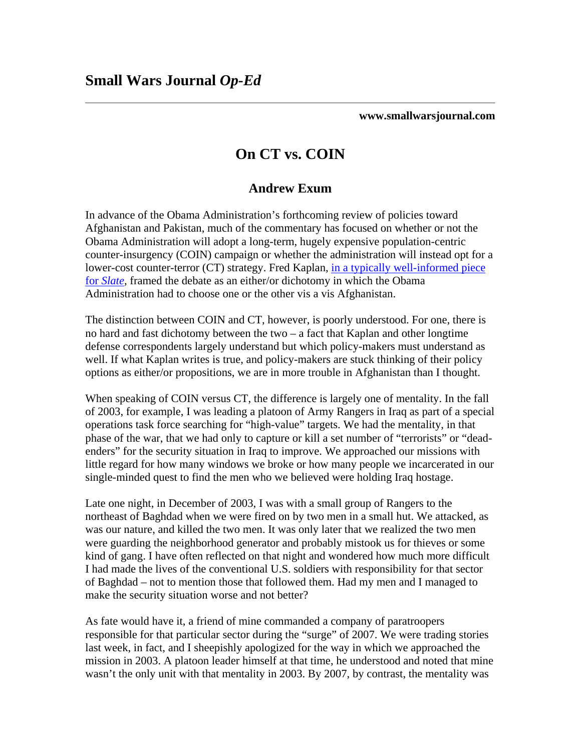**www.smallwarsjournal.com**

## **On CT vs. COIN**

## **Andrew Exum**

Afghanistan and Pakistan, much of the commentary has focused on whether or not the lower-cost counter-terror (CT) strategy. Fred Kaplan, [in a typically well-info](http://www.slate.com/id/2214515/)rmed piece In advance of the Obama Administration's forthcoming review of policies toward Obama Administration will adopt a long-term, hugely expensive population-centric counter-insurgency (COIN) campaign or whether the administration will instead opt for a for *[Slate](http://www.slate.com/id/2214515/)*, framed the debate as an either/or dichotomy in which the Obama Administration had to choose one or the other vis a vis Afghanistan.

The distinction between COIN and CT, however, is poorly understood. For one, there is options as either/or propositions, we are in more trouble in Afghanistan than I thought. no hard and fast dichotomy between the two – a fact that Kaplan and other longtime defense correspondents largely understand but which policy-makers must understand as well. If what Kaplan writes is true, and policy-makers are stuck thinking of their policy

of 2003, for example, I was leading a platoon of Army Rangers in Iraq as part of a special phase of the war, that we had only to capture or kill a set number of "terrorists" or "deadlittle regard for how many windows we broke or how many people we incarcerated in our single-minded quest to find the men who we believed were holding Iraq hostage. When speaking of COIN versus CT, the difference is largely one of mentality. In the fall operations task force searching for "high-value" targets. We had the mentality, in that enders" for the security situation in Iraq to improve. We approached our missions with

northeast of Baghdad when we were fired on by two men in a small hut. We attacked, as of Baghdad – not to mention those that followed them. Had my men and I managed to make the security situation worse and not better? Late one night, in December of 2003, I was with a small group of Rangers to the was our nature, and killed the two men. It was only later that we realized the two men were guarding the neighborhood generator and probably mistook us for thieves or some kind of gang. I have often reflected on that night and wondered how much more difficult I had made the lives of the conventional U.S. soldiers with responsibility for that sector

wasn't the only unit with that mentality in 2003. By 2007, by contrast, the mentality was As fate would have it, a friend of mine commanded a company of paratroopers responsible for that particular sector during the "surge" of 2007. We were trading stories last week, in fact, and I sheepishly apologized for the way in which we approached the mission in 2003. A platoon leader himself at that time, he understood and noted that mine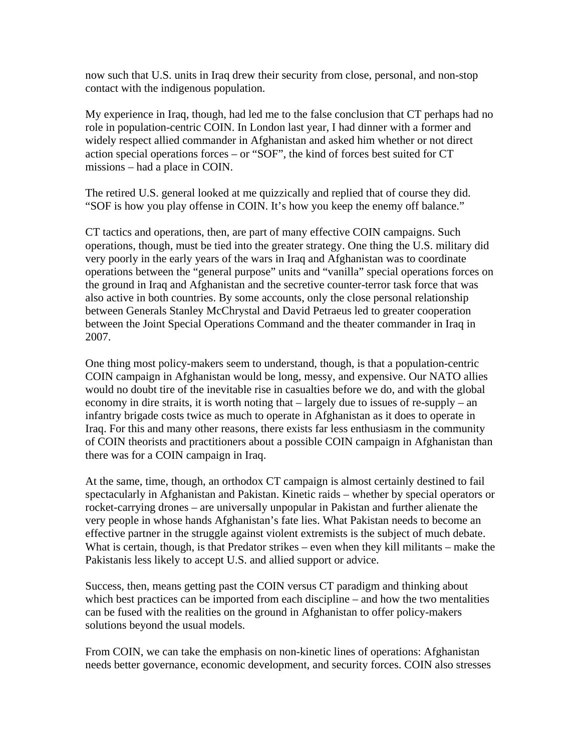now such that U.S. units in Iraq drew their security from close, personal, and non-stop contact with the indigenous population.

My experience in Iraq, though, had led me to the false conclusion that CT perhaps had no role in population-centric COIN. In London last year, I had dinner with a former and widely respect allied commander in Afghanistan and asked him whether or not direct action special operations forces – or "SOF", the kind of forces best suited for CT missions – had a place in COIN.

The retired U.S. general looked at me quizzically and replied that of course they did. "SOF is how you play offense in COIN. It's how you keep the enemy off balance."

CT tactics and operations, then, are part of many effective COIN campaigns. Such operations, though, must be tied into the greater strategy. One thing the U.S. military did very poorly in the early years of the wars in Iraq and Afghanistan was to coordinate operations between the "general purpose" units and "vanilla" special operations forces on the ground in Iraq and Afghanistan and the secretive counter-terror task force that was also active in both countries. By some accounts, only the close personal relationship between Generals Stanley McChrystal and David Petraeus led to greater cooperation between the Joint Special Operations Command and the theater commander in Iraq in 2007.

One thing most policy-makers seem to understand, though, is that a population-centric COIN campaign in Afghanistan would be long, messy, and expensive. Our NATO allies would no doubt tire of the inevitable rise in casualties before we do, and with the global economy in dire straits, it is worth noting that – largely due to issues of re-supply – an infantry brigade costs twice as much to operate in Afghanistan as it does to operate in Iraq. For this and many other reasons, there exists far less enthusiasm in the community of COIN theorists and practitioners about a possible COIN campaign in Afghanistan than there was for a COIN campaign in Iraq.

At the same, time, though, an orthodox CT campaign is almost certainly destined to fail spectacularly in Afghanistan and Pakistan. Kinetic raids – whether by special operators or rocket-carrying drones – are universally unpopular in Pakistan and further alienate the very people in whose hands Afghanistan's fate lies. What Pakistan needs to become an effective partner in the struggle against violent extremists is the subject of much debate. What is certain, though, is that Predator strikes – even when they kill militants – make the Pakistanis less likely to accept U.S. and allied support or advice.

Success, then, means getting past the COIN versus CT paradigm and thinking about which best practices can be imported from each discipline – and how the two mentalities can be fused with the realities on the ground in Afghanistan to offer policy-makers solutions beyond the usual models.

From COIN, we can take the emphasis on non-kinetic lines of operations: Afghanistan needs better governance, economic development, and security forces. COIN also stresses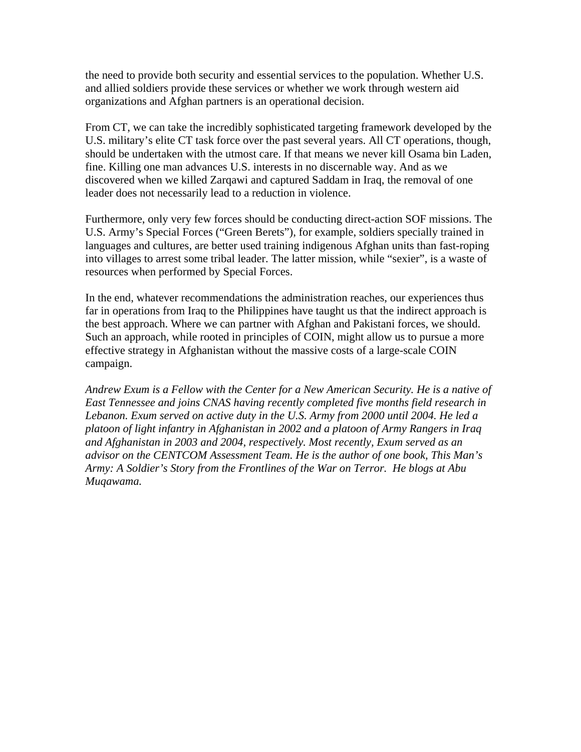the need to provide both security and essential services to the population. Whether U.S. and allied soldiers provide these services or whether we work through western aid organizations and Afghan partners is an operational decision.

From CT, we can take the incredibly sophisticated targeting framework developed by the U.S. military's elite CT task force over the past several years. All CT operations, though, should be undertaken with the utmost care. If that means we never kill Osama bin Laden, fine. Killing one man advances U.S. interests in no discernable way. And as we discovered when we killed Zarqawi and captured Saddam in Iraq, the removal of one leader does not necessarily lead to a reduction in violence.

Furthermore, only very few forces should be conducting direct-action SOF missions. The U.S. Army's Special Forces ("Green Berets"), for example, soldiers specially trained in languages and cultures, are better used training indigenous Afghan units than fast-roping into villages to arrest some tribal leader. The latter mission, while "sexier", is a waste of resources when performed by Special Forces.

In the end, whatever recommendations the administration reaches, our experiences thus far in operations from Iraq to the Philippines have taught us that the indirect approach is the best approach. Where we can partner with Afghan and Pakistani forces, we should. Such an approach, while rooted in principles of COIN, might allow us to pursue a more effective strategy in Afghanistan without the massive costs of a large-scale COIN campaign.

*Andrew Exum is a Fellow with the Center for a New American Security. He is a native of East Tennessee and joins CNAS having recently completed five months field research in Lebanon. Exum served on active duty in the U.S. Army from 2000 until 2004. He led a platoon of light infantry in Afghanistan in 2002 and a platoon of Army Rangers in Iraq and Afghanistan in 2003 and 2004, respectively. Most recently, Exum served as an advisor on the CENTCOM Assessment Team. He is the author of one book, This Man's Army: A Soldier's Story from the Frontlines of the War on Terror. He blogs at Abu Muqawama.*